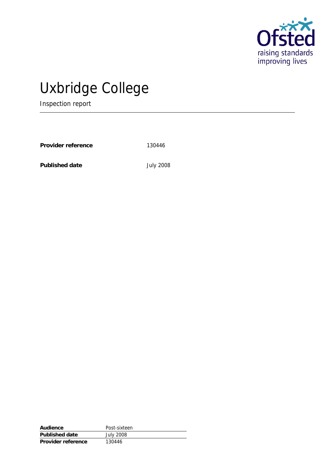

# Uxbridge College

Inspection report

Provider reference 130446

**Published date** July 2008

| Audience           | Post-sixteen     |
|--------------------|------------------|
| Published date     | <b>July 2008</b> |
| Provider reference | 130446           |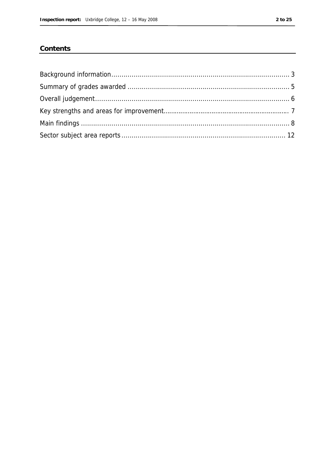#### Contents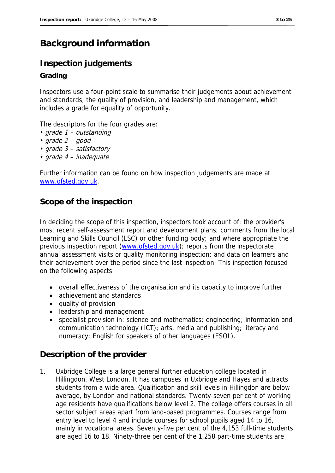# **Background information**

## **Inspection judgements**

#### **Grading**

Inspectors use a four-point scale to summarise their judgements about achievement and standards, the quality of provision, and leadership and management, which includes a grade for equality of opportunity.

The descriptors for the four grades are:

- grade 1 outstanding
- grade 2 good
- grade 3 satisfactory
- grade 4 inadequate

Further information can be found on how inspection judgements are made at www.ofsted.gov.uk.

### **Scope of the inspection**

In deciding the scope of this inspection, inspectors took account of: the provider's most recent self-assessment report and development plans; comments from the local Learning and Skills Council (LSC) or other funding body; and where appropriate the previous inspection report (www.ofsted.gov.uk); reports from the inspectorate annual assessment visits or quality monitoring inspection; and data on learners and their achievement over the period since the last inspection. This inspection focused on the following aspects:

- overall effectiveness of the organisation and its capacity to improve further
- achievement and standards
- quality of provision
- leadership and management
- specialist provision in: science and mathematics; engineering; information and communication technology (ICT); arts, media and publishing; literacy and numeracy; English for speakers of other languages (ESOL).

### **Description of the provider**

1. Uxbridge College is a large general further education college located in Hillingdon, West London. It has campuses in Uxbridge and Hayes and attracts students from a wide area. Qualification and skill levels in Hillingdon are below average, by London and national standards. Twenty-seven per cent of working age residents have qualifications below level 2. The college offers courses in all sector subject areas apart from land-based programmes. Courses range from entry level to level 4 and include courses for school pupils aged 14 to 16, mainly in vocational areas. Seventy-five per cent of the 4,153 full-time students are aged 16 to 18. Ninety-three per cent of the 1,258 part-time students are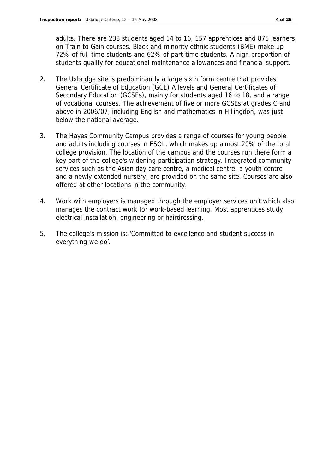adults. There are 238 students aged 14 to 16, 157 apprentices and 875 learners on Train to Gain courses. Black and minority ethnic students (BME) make up 72% of full-time students and 62% of part-time students. A high proportion of students qualify for educational maintenance allowances and financial support.

- 2. The Uxbridge site is predominantly a large sixth form centre that provides General Certificate of Education (GCE) A levels and General Certificates of Secondary Education (GCSEs), mainly for students aged 16 to 18, and a range of vocational courses. The achievement of five or more GCSEs at grades C and above in 2006/07, including English and mathematics in Hillingdon, was just below the national average.
- 3. The Hayes Community Campus provides a range of courses for young people and adults including courses in ESOL, which makes up almost 20% of the total college provision. The location of the campus and the courses run there form a key part of the college's widening participation strategy. Integrated community services such as the Asian day care centre, a medical centre, a youth centre and a newly extended nursery, are provided on the same site. Courses are also offered at other locations in the community.
- 4. Work with employers is managed through the employer services unit which also manages the contract work for work-based learning. Most apprentices study electrical installation, engineering or hairdressing.
- 5. The college's mission is: 'Committed to excellence and student success in everything we do'.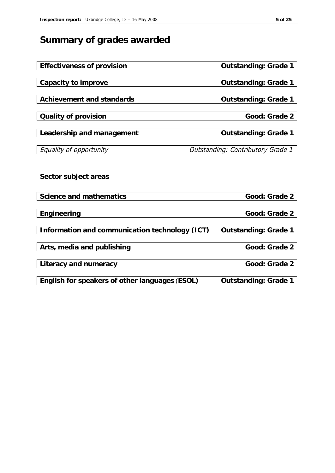# **Summary of grades awarded**

| Effectiveness of provision                     | Outstanding: Grade 1              |
|------------------------------------------------|-----------------------------------|
|                                                |                                   |
| Capacity to improve                            | Outstanding: Grade 1              |
|                                                |                                   |
| Achievement and standards                      | Outstanding: Grade 1              |
|                                                |                                   |
| Quality of provision                           | Good: Grade 2                     |
|                                                |                                   |
| Leadership and management                      | Outstanding: Grade 1              |
|                                                |                                   |
| Equality of opportunity                        | Outstanding: Contributory Grade 1 |
|                                                |                                   |
|                                                |                                   |
| Sector subject areas                           |                                   |
|                                                |                                   |
|                                                |                                   |
| Science and mathematics                        | Good: Grade 2                     |
|                                                |                                   |
| Engineering                                    | Good: Grade 2                     |
|                                                |                                   |
| Information and communication technology (ICT) | Outstanding: Grade 1              |
|                                                |                                   |
| Arts, media and publishing                     | Good: Grade 2                     |
|                                                |                                   |
| Literacy and numeracy                          | Good: Grade 2                     |
|                                                |                                   |
| English for speakers of other languages (ESOL) | Outstanding: Grade 1              |
|                                                |                                   |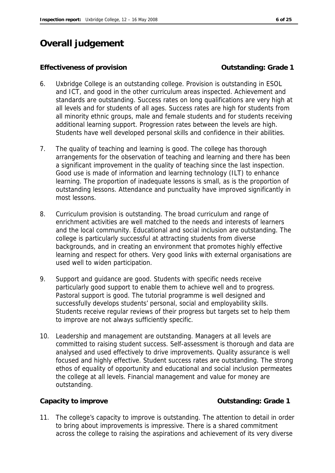# **Overall judgement**

#### **Effectiveness of provision Contract Contract Contract Contract Contract Contract Contract Contract Contract Contract Contract Contract Contract Contract Contract Contract Contract Contract Contract Contract Contract Con**

- 6. Uxbridge College is an outstanding college. Provision is outstanding in ESOL and ICT, and good in the other curriculum areas inspected. Achievement and standards are outstanding. Success rates on long qualifications are very high at all levels and for students of all ages. Success rates are high for students from all minority ethnic groups, male and female students and for students receiving additional learning support. Progression rates between the levels are high. Students have well developed personal skills and confidence in their abilities.
- 7. The quality of teaching and learning is good. The college has thorough arrangements for the observation of teaching and learning and there has been a significant improvement in the quality of teaching since the last inspection. Good use is made of information and learning technology (ILT) to enhance learning. The proportion of inadequate lessons is small, as is the proportion of outstanding lessons. Attendance and punctuality have improved significantly in most lessons.
- 8. Curriculum provision is outstanding. The broad curriculum and range of enrichment activities are well matched to the needs and interests of learners and the local community. Educational and social inclusion are outstanding. The college is particularly successful at attracting students from diverse backgrounds, and in creating an environment that promotes highly effective learning and respect for others. Very good links with external organisations are used well to widen participation.
- 9. Support and guidance are good. Students with specific needs receive particularly good support to enable them to achieve well and to progress. Pastoral support is good. The tutorial programme is well designed and successfully develops students' personal, social and employability skills. Students receive regular reviews of their progress but targets set to help them to improve are not always sufficiently specific.
- 10. Leadership and management are outstanding. Managers at all levels are committed to raising student success. Self-assessment is thorough and data are analysed and used effectively to drive improvements. Quality assurance is well focused and highly effective. Student success rates are outstanding. The strong ethos of equality of opportunity and educational and social inclusion permeates the college at all levels. Financial management and value for money are outstanding.

Capacity to improve **Capacity to improve Capacity** to improve **Capacity** to improve **Capacity**  $\alpha$  outstanding: Grade 1

11. The college's capacity to improve is outstanding. The attention to detail in order to bring about improvements is impressive. There is a shared commitment across the college to raising the aspirations and achievement of its very diverse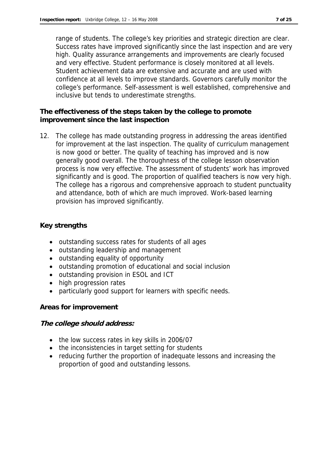range of students. The college's key priorities and strategic direction are clear. Success rates have improved significantly since the last inspection and are very high. Quality assurance arrangements and improvements are clearly focused and very effective. Student performance is closely monitored at all levels. Student achievement data are extensive and accurate and are used with confidence at all levels to improve standards. Governors carefully monitor the college's performance. Self-assessment is well established, comprehensive and inclusive but tends to underestimate strengths.

**The effectiveness of the steps taken by the college to promote improvement since the last inspection** 

12. The college has made outstanding progress in addressing the areas identified for improvement at the last inspection. The quality of curriculum management is now good or better. The quality of teaching has improved and is now generally good overall. The thoroughness of the college lesson observation process is now very effective. The assessment of students' work has improved significantly and is good. The proportion of qualified teachers is now very high. The college has a rigorous and comprehensive approach to student punctuality and attendance, both of which are much improved. Work-based learning provision has improved significantly.

#### **Key strengths**

- outstanding success rates for students of all ages
- outstanding leadership and management
- outstanding equality of opportunity
- outstanding promotion of educational and social inclusion
- outstanding provision in ESOL and ICT
- high progression rates
- particularly good support for learners with specific needs.

#### **Areas for improvement**

**The college should address:**

- the low success rates in key skills in 2006/07
- the inconsistencies in target setting for students
- reducing further the proportion of inadequate lessons and increasing the proportion of good and outstanding lessons.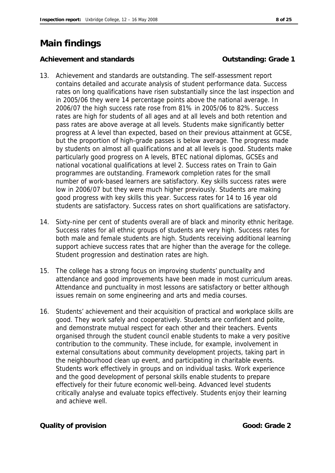# **Main findings**

Achievement and standards **Container and Standards Container and Standards Container and Achievement** and Standards **Container and Achievement** and Standards **Container and Achievement** and Standards **Container and Sta** 

- 13. Achievement and standards are outstanding. The self-assessment report contains detailed and accurate analysis of student performance data. Success rates on long qualifications have risen substantially since the last inspection and in 2005/06 they were 14 percentage points above the national average. In 2006/07 the high success rate rose from 81% in 2005/06 to 82%. Success rates are high for students of all ages and at all levels and both retention and pass rates are above average at all levels. Students make significantly better progress at A level than expected, based on their previous attainment at GCSE, but the proportion of high-grade passes is below average. The progress made by students on almost all qualifications and at all levels is good. Students make particularly good progress on A levels, BTEC national diplomas, GCSEs and national vocational qualifications at level 2. Success rates on Train to Gain programmes are outstanding. Framework completion rates for the small number of work-based learners are satisfactory. Key skills success rates were low in 2006/07 but they were much higher previously. Students are making good progress with key skills this year. Success rates for 14 to 16 year old students are satisfactory. Success rates on short qualifications are satisfactory.
- 14. Sixty-nine per cent of students overall are of black and minority ethnic heritage. Success rates for all ethnic groups of students are very high. Success rates for both male and female students are high. Students receiving additional learning support achieve success rates that are higher than the average for the college. Student progression and destination rates are high.
- 15. The college has a strong focus on improving students' punctuality and attendance and good improvements have been made in most curriculum areas. Attendance and punctuality in most lessons are satisfactory or better although issues remain on some engineering and arts and media courses.
- 16. Students' achievement and their acquisition of practical and workplace skills are good. They work safely and cooperatively. Students are confident and polite, and demonstrate mutual respect for each other and their teachers. Events organised through the student council enable students to make a very positive contribution to the community. These include, for example, involvement in external consultations about community development projects, taking part in the neighbourhood clean up event, and participating in charitable events. Students work effectively in groups and on individual tasks. Work experience and the good development of personal skills enable students to prepare effectively for their future economic well-being. Advanced level students critically analyse and evaluate topics effectively. Students enjoy their learning and achieve well.

**Cauality of provision Good: Grade 2**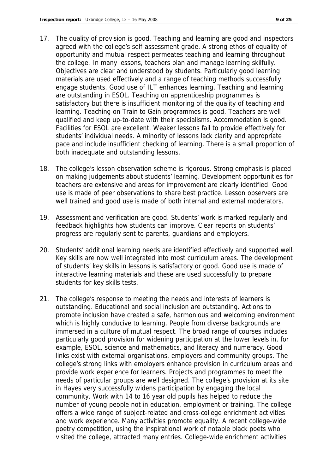- 17. The quality of provision is good. Teaching and learning are good and inspectors agreed with the college's self-assessment grade. A strong ethos of equality of opportunity and mutual respect permeates teaching and learning throughout the college. In many lessons, teachers plan and manage learning skilfully. Objectives are clear and understood by students. Particularly good learning materials are used effectively and a range of teaching methods successfully engage students. Good use of ILT enhances learning. Teaching and learning are outstanding in ESOL. Teaching on apprenticeship programmes is satisfactory but there is insufficient monitoring of the quality of teaching and learning. Teaching on Train to Gain programmes is good. Teachers are well qualified and keep up-to-date with their specialisms. Accommodation is good. Facilities for ESOL are excellent. Weaker lessons fail to provide effectively for students' individual needs. A minority of lessons lack clarity and appropriate pace and include insufficient checking of learning. There is a small proportion of both inadequate and outstanding lessons.
- 18. The college's lesson observation scheme is rigorous. Strong emphasis is placed on making judgements about students' learning. Development opportunities for teachers are extensive and areas for improvement are clearly identified. Good use is made of peer observations to share best practice. Lesson observers are well trained and good use is made of both internal and external moderators.
- 19. Assessment and verification are good. Students' work is marked regularly and feedback highlights how students can improve. Clear reports on students' progress are regularly sent to parents, guardians and employers.
- 20. Students' additional learning needs are identified effectively and supported well. Key skills are now well integrated into most curriculum areas. The development of students' key skills in lessons is satisfactory or good. Good use is made of interactive learning materials and these are used successfully to prepare students for key skills tests.
- 21. The college's response to meeting the needs and interests of learners is outstanding. Educational and social inclusion are outstanding. Actions to promote inclusion have created a safe, harmonious and welcoming environment which is highly conducive to learning. People from diverse backgrounds are immersed in a culture of mutual respect. The broad range of courses includes particularly good provision for widening participation at the lower levels in, for example, ESOL, science and mathematics, and literacy and numeracy. Good links exist with external organisations, employers and community groups. The college's strong links with employers enhance provision in curriculum areas and provide work experience for learners. Projects and programmes to meet the needs of particular groups are well designed. The college's provision at its site in Hayes very successfully widens participation by engaging the local community. Work with 14 to 16 year old pupils has helped to reduce the number of young people not in education, employment or training. The college offers a wide range of subject-related and cross-college enrichment activities and work experience. Many activities promote equality. A recent college-wide poetry competition, using the inspirational work of notable black poets who visited the college, attracted many entries. College-wide enrichment activities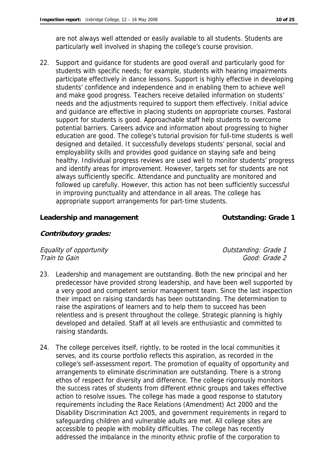are not always well attended or easily available to all students. Students are particularly well involved in shaping the college's course provision.

22. Support and guidance for students are good overall and particularly good for students with specific needs; for example, students with hearing impairments participate effectively in dance lessons. Support is highly effective in developing students' confidence and independence and in enabling them to achieve well and make good progress. Teachers receive detailed information on students' needs and the adjustments required to support them effectively. Initial advice and guidance are effective in placing students on appropriate courses. Pastoral support for students is good. Approachable staff help students to overcome potential barriers. Careers advice and information about progressing to higher education are good. The college's tutorial provision for full-time students is well designed and detailed. It successfully develops students' personal, social and employability skills and provides good guidance on staying safe and being healthy. Individual progress reviews are used well to monitor students' progress and identify areas for improvement. However, targets set for students are not always sufficiently specific. Attendance and punctuality are monitored and followed up carefully. However, this action has not been sufficiently successful in improving punctuality and attendance in all areas. The college has appropriate support arrangements for part-time students.

#### Leadership and management **Contact Contact Contact Contact Contact Contact Contact Contact Contact Contact Contact Contact Contact Contact Contact Contact Contact Contact Contact Contact Contact Contact Contact Contact Con**

**Contributory grades:**

Equality of opportunity  $\blacksquare$ Train to Gain Good: Grade 2

- 23. Leadership and management are outstanding. Both the new principal and her predecessor have provided strong leadership, and have been well supported by a very good and competent senior management team. Since the last inspection their impact on raising standards has been outstanding. The determination to raise the aspirations of learners and to help them to succeed has been relentless and is present throughout the college. Strategic planning is highly developed and detailed. Staff at all levels are enthusiastic and committed to raising standards.
- 24. The college perceives itself, rightly, to be rooted in the local communities it serves, and its course portfolio reflects this aspiration, as recorded in the college's self-assessment report. The promotion of equality of opportunity and arrangements to eliminate discrimination are outstanding. There is a strong ethos of respect for diversity and difference. The college rigorously monitors the success rates of students from different ethnic groups and takes effective action to resolve issues. The college has made a good response to statutory requirements including the Race Relations (Amendment) Act 2000 and the Disability Discrimination Act 2005, and government requirements in regard to safeguarding children and vulnerable adults are met. All college sites are accessible to people with mobility difficulties. The college has recently addressed the imbalance in the minority ethnic profile of the corporation to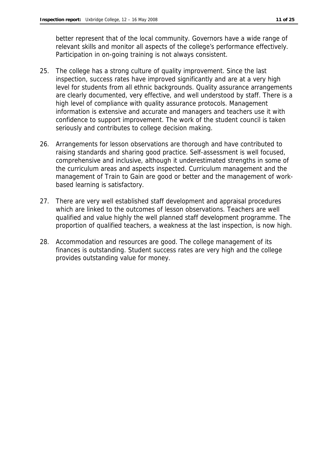better represent that of the local community. Governors have a wide range of relevant skills and monitor all aspects of the college's performance effectively. Participation in on-going training is not always consistent.

- 25. The college has a strong culture of quality improvement. Since the last inspection, success rates have improved significantly and are at a very high level for students from all ethnic backgrounds. Quality assurance arrangements are clearly documented, very effective, and well understood by staff. There is a high level of compliance with quality assurance protocols. Management information is extensive and accurate and managers and teachers use it with confidence to support improvement. The work of the student council is taken seriously and contributes to college decision making.
- 26. Arrangements for lesson observations are thorough and have contributed to raising standards and sharing good practice. Self-assessment is well focused, comprehensive and inclusive, although it underestimated strengths in some of the curriculum areas and aspects inspected. Curriculum management and the management of Train to Gain are good or better and the management of workbased learning is satisfactory.
- 27. There are very well established staff development and appraisal procedures which are linked to the outcomes of lesson observations. Teachers are well qualified and value highly the well planned staff development programme. The proportion of qualified teachers, a weakness at the last inspection, is now high.
- 28. Accommodation and resources are good. The college management of its finances is outstanding. Student success rates are very high and the college provides outstanding value for money.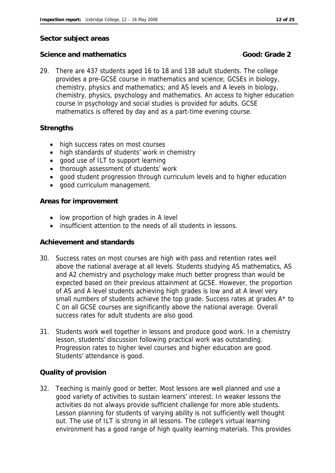#### **Sector subject areas**

#### **Science and mathematics Good: Grade 2**

29. There are 437 students aged 16 to 18 and 138 adult students. The college provides a pre-GCSE course in mathematics and science; GCSEs in biology, chemistry, physics and mathematics; and AS levels and A levels in biology, chemistry, physics, psychology and mathematics. An access to higher education course in psychology and social studies is provided for adults. GCSE mathematics is offered by day and as a part-time evening course.

#### **Strengths**

- high success rates on most courses
- high standards of students' work in chemistry
- good use of ILT to support learning
- thorough assessment of students' work
- good student progression through curriculum levels and to higher education
- good curriculum management.

#### **Areas for improvement**

- low proportion of high grades in A level
- insufficient attention to the needs of all students in lessons.

#### **Achievement and standards**

- 30. Success rates on most courses are high with pass and retention rates well above the national average at all levels. Students studying AS mathematics, AS and A2 chemistry and psychology make much better progress than would be expected based on their previous attainment at GCSE. However, the proportion of AS and A level students achieving high grades is low and at A level very small numbers of students achieve the top grade. Success rates at grades  $A^*$  to C on all GCSE courses are significantly above the national average. Overall success rates for adult students are also good.
- 31. Students work well together in lessons and produce good work. In a chemistry lesson, students' discussion following practical work was outstanding. Progression rates to higher level courses and higher education are good. Students' attendance is good.

#### **Quality of provision**

32. Teaching is mainly good or better. Most lessons are well planned and use a good variety of activities to sustain learners' interest. In weaker lessons the activities do not always provide sufficient challenge for more able students. Lesson planning for students of varying ability is not sufficiently well thought out. The use of ILT is strong in all lessons. The college's virtual learning environment has a good range of high quality learning materials. This provides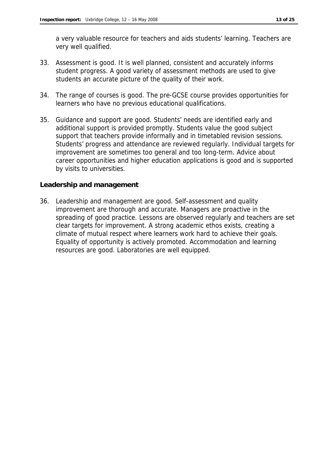a very valuable resource for teachers and aids students' learning. Teachers are very well qualified.

- 33. Assessment is good. It is well planned, consistent and accurately informs student progress. A good variety of assessment methods are used to give students an accurate picture of the quality of their work.
- 34. The range of courses is good. The pre-GCSE course provides opportunities for learners who have no previous educational qualifications.
- 35. Guidance and support are good. Students' needs are identified early and additional support is provided promptly. Students value the good subject support that teachers provide informally and in timetabled revision sessions. Students' progress and attendance are reviewed regularly. Individual targets for improvement are sometimes too general and too long-term. Advice about career opportunities and higher education applications is good and is supported by visits to universities.

#### **Leadership and management**

36. Leadership and management are good. Self-assessment and quality improvement are thorough and accurate. Managers are proactive in the spreading of good practice. Lessons are observed regularly and teachers are set clear targets for improvement. A strong academic ethos exists, creating a climate of mutual respect where learners work hard to achieve their goals. Equality of opportunity is actively promoted. Accommodation and learning resources are good. Laboratories are well equipped.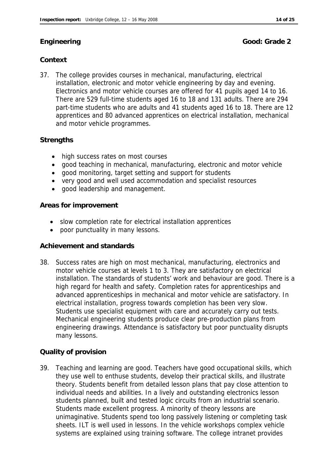**Engineering Good: Grade 2** 

### **Context**

37. The college provides courses in mechanical, manufacturing, electrical installation, electronic and motor vehicle engineering by day and evening. Electronics and motor vehicle courses are offered for 41 pupils aged 14 to 16. There are 529 full-time students aged 16 to 18 and 131 adults. There are 294 part-time students who are adults and 41 students aged 16 to 18. There are 12 apprentices and 80 advanced apprentices on electrical installation, mechanical and motor vehicle programmes.

### **Strengths**

- high success rates on most courses
- good teaching in mechanical, manufacturing, electronic and motor vehicle
- good monitoring, target setting and support for students
- very good and well used accommodation and specialist resources
- good leadership and management.

#### **Areas for improvement**

- slow completion rate for electrical installation apprentices
- poor punctuality in many lessons.

#### **Achievement and standards**

38. Success rates are high on most mechanical, manufacturing, electronics and motor vehicle courses at levels 1 to 3. They are satisfactory on electrical installation. The standards of students' work and behaviour are good. There is a high regard for health and safety. Completion rates for apprenticeships and advanced apprenticeships in mechanical and motor vehicle are satisfactory. In electrical installation, progress towards completion has been very slow. Students use specialist equipment with care and accurately carry out tests. Mechanical engineering students produce clear pre-production plans from engineering drawings. Attendance is satisfactory but poor punctuality disrupts many lessons.

### **Quality of provision**

39. Teaching and learning are good. Teachers have good occupational skills, which they use well to enthuse students, develop their practical skills, and illustrate theory. Students benefit from detailed lesson plans that pay close attention to individual needs and abilities. In a lively and outstanding electronics lesson students planned, built and tested logic circuits from an industrial scenario. Students made excellent progress. A minority of theory lessons are unimaginative. Students spend too long passively listening or completing task sheets. ILT is well used in lessons. In the vehicle workshops complex vehicle systems are explained using training software. The college intranet provides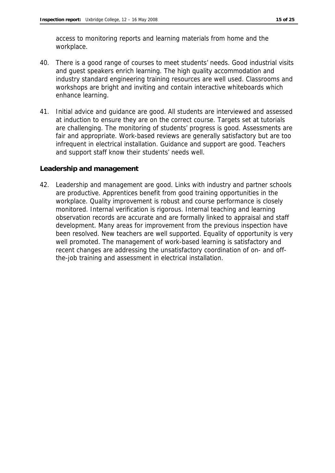access to monitoring reports and learning materials from home and the workplace.

- 40. There is a good range of courses to meet students' needs. Good industrial visits and guest speakers enrich learning. The high quality accommodation and industry standard engineering training resources are well used. Classrooms and workshops are bright and inviting and contain interactive whiteboards which enhance learning.
- 41. Initial advice and guidance are good. All students are interviewed and assessed at induction to ensure they are on the correct course. Targets set at tutorials are challenging. The monitoring of students' progress is good. Assessments are fair and appropriate. Work-based reviews are generally satisfactory but are too infrequent in electrical installation. Guidance and support are good. Teachers and support staff know their students' needs well.

**Leadership and management**

42. Leadership and management are good. Links with industry and partner schools are productive. Apprentices benefit from good training opportunities in the workplace. Quality improvement is robust and course performance is closely monitored. Internal verification is rigorous. Internal teaching and learning observation records are accurate and are formally linked to appraisal and staff development. Many areas for improvement from the previous inspection have been resolved. New teachers are well supported. Equality of opportunity is very well promoted. The management of work-based learning is satisfactory and recent changes are addressing the unsatisfactory coordination of on- and offthe-job training and assessment in electrical installation.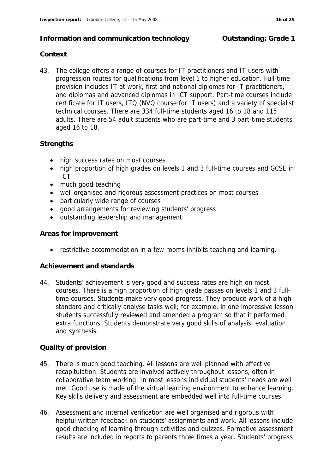#### **Information and communication technology building: Grade 1**

#### **Context**

43. The college offers a range of courses for IT practitioners and IT users with progression routes for qualifications from level 1 to higher education. Full-time provision includes IT at work, first and national diplomas for IT practitioners, and diplomas and advanced diplomas in ICT support. Part-time courses include certificate for IT users, ITQ (NVQ course for IT users) and a variety of specialist technical courses. There are 334 full-time students aged 16 to 18 and 115 adults. There are 54 adult students who are part-time and 3 part-time students aged 16 to 18.

#### **Strengths**

- high success rates on most courses
- high proportion of high grades on levels 1 and 3 full-time courses and GCSE in ICT
- much good teaching
- well organised and rigorous assessment practices on most courses
- particularly wide range of courses
- good arrangements for reviewing students' progress
- outstanding leadership and management.

#### **Areas for improvement**

• restrictive accommodation in a few rooms inhibits teaching and learning.

#### **Achievement and standards**

44. Students' achievement is very good and success rates are high on most courses. There is a high proportion of high grade passes on levels 1 and 3 fulltime courses. Students make very good progress. They produce work of a high standard and critically analyse tasks well; for example, in one impressive lesson students successfully reviewed and amended a program so that it performed extra functions. Students demonstrate very good skills of analysis, evaluation and synthesis.

#### **Quality of provision**

- 45. There is much good teaching. All lessons are well planned with effective recapitulation. Students are involved actively throughout lessons, often in collaborative team working. In most lessons individual students' needs are well met. Good use is made of the virtual learning environment to enhance learning. Key skills delivery and assessment are embedded well into full-time courses.
- 46. Assessment and internal verification are well organised and rigorous with helpful written feedback on students' assignments and work. All lessons include good checking of learning through activities and quizzes. Formative assessment results are included in reports to parents three times a year. Students' progress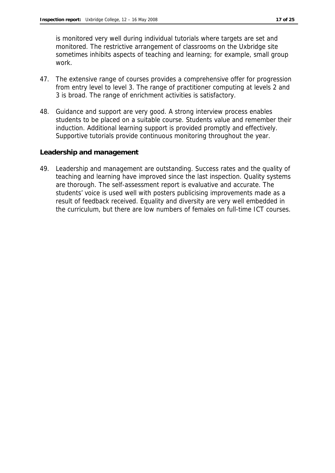is monitored very well during individual tutorials where targets are set and monitored. The restrictive arrangement of classrooms on the Uxbridge site sometimes inhibits aspects of teaching and learning; for example, small group work.

- 47. The extensive range of courses provides a comprehensive offer for progression from entry level to level 3. The range of practitioner computing at levels 2 and 3 is broad. The range of enrichment activities is satisfactory.
- 48. Guidance and support are very good. A strong interview process enables students to be placed on a suitable course. Students value and remember their induction. Additional learning support is provided promptly and effectively. Supportive tutorials provide continuous monitoring throughout the year.

#### **Leadership and management**

49. Leadership and management are outstanding. Success rates and the quality of teaching and learning have improved since the last inspection. Quality systems are thorough. The self-assessment report is evaluative and accurate. The students' voice is used well with posters publicising improvements made as a result of feedback received. Equality and diversity are very well embedded in the curriculum, but there are low numbers of females on full-time ICT courses.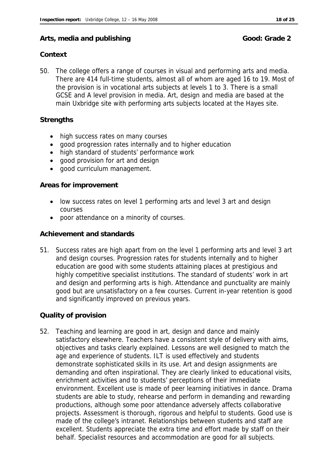#### Arts, media and publishing **Good: Grade 2** Good: Grade 2

#### **Context**

50. The college offers a range of courses in visual and performing arts and media. There are 414 full-time students, almost all of whom are aged 16 to 19. Most of the provision is in vocational arts subjects at levels 1 to 3. There is a small GCSE and A level provision in media. Art, design and media are based at the main Uxbridge site with performing arts subjects located at the Hayes site.

#### **Strengths**

- high success rates on many courses
- good progression rates internally and to higher education
- high standard of students' performance work
- good provision for art and design
- good curriculum management.

#### **Areas for improvement**

- low success rates on level 1 performing arts and level 3 art and design courses
- poor attendance on a minority of courses.

#### **Achievement and standards**

51. Success rates are high apart from on the level 1 performing arts and level 3 art and design courses. Progression rates for students internally and to higher education are good with some students attaining places at prestigious and highly competitive specialist institutions. The standard of students' work in art and design and performing arts is high. Attendance and punctuality are mainly good but are unsatisfactory on a few courses. Current in-year retention is good and significantly improved on previous years.

#### **Quality of provision**

52. Teaching and learning are good in art, design and dance and mainly satisfactory elsewhere. Teachers have a consistent style of delivery with aims, objectives and tasks clearly explained. Lessons are well designed to match the age and experience of students. ILT is used effectively and students demonstrate sophisticated skills in its use. Art and design assignments are demanding and often inspirational. They are clearly linked to educational visits, enrichment activities and to students' perceptions of their immediate environment. Excellent use is made of peer learning initiatives in dance. Drama students are able to study, rehearse and perform in demanding and rewarding productions, although some poor attendance adversely affects collaborative projects. Assessment is thorough, rigorous and helpful to students. Good use is made of the college's intranet. Relationships between students and staff are excellent. Students appreciate the extra time and effort made by staff on their behalf. Specialist resources and accommodation are good for all subjects.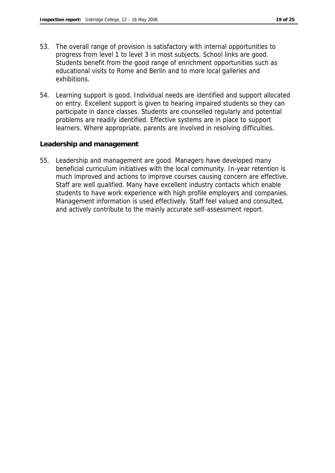- 53. The overall range of provision is satisfactory with internal opportunities to progress from level 1 to level 3 in most subjects. School links are good. Students benefit from the good range of enrichment opportunities such as educational visits to Rome and Berlin and to more local galleries and exhibitions.
- 54. Learning support is good. Individual needs are identified and support allocated on entry. Excellent support is given to hearing impaired students so they can participate in dance classes. Students are counselled regularly and potential problems are readily identified. Effective systems are in place to support learners. Where appropriate, parents are involved in resolving difficulties.

#### **Leadership and management**

55. Leadership and management are good. Managers have developed many beneficial curriculum initiatives with the local community. In-year retention is much improved and actions to improve courses causing concern are effective. Staff are well qualified. Many have excellent industry contacts which enable students to have work experience with high profile employers and companies. Management information is used effectively. Staff feel valued and consulted, and actively contribute to the mainly accurate self-assessment report.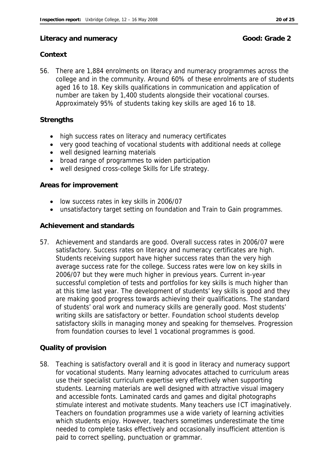#### Literacy and numeracy and  $G$  and  $G$  and  $G$  and  $G$  and  $G$  and  $G$  and  $G$  and  $G$  and  $G$  and  $G$  and  $G$  and  $G$  and  $G$  and  $G$  and  $G$  and  $G$  and  $G$  and  $G$  and  $G$  and  $G$  and  $G$  and  $G$  and  $G$  and  $G$  and  $G$

#### **Context**

56. There are 1,884 enrolments on literacy and numeracy programmes across the college and in the community. Around 60% of these enrolments are of students aged 16 to 18. Key skills qualifications in communication and application of number are taken by 1,400 students alongside their vocational courses. Approximately 95% of students taking key skills are aged 16 to 18.

#### **Strengths**

- high success rates on literacy and numeracy certificates
- very good teaching of vocational students with additional needs at college
- well designed learning materials
- broad range of programmes to widen participation
- well designed cross-college Skills for Life strategy.

#### **Areas for improvement**

- low success rates in key skills in 2006/07
- unsatisfactory target setting on foundation and Train to Gain programmes.

#### **Achievement and standards**

57. Achievement and standards are good. Overall success rates in 2006/07 were satisfactory. Success rates on literacy and numeracy certificates are high. Students receiving support have higher success rates than the very high average success rate for the college. Success rates were low on key skills in 2006/07 but they were much higher in previous years. Current in-year successful completion of tests and portfolios for key skills is much higher than at this time last year. The development of students' key skills is good and they are making good progress towards achieving their qualifications. The standard of students' oral work and numeracy skills are generally good. Most students' writing skills are satisfactory or better. Foundation school students develop satisfactory skills in managing money and speaking for themselves. Progression from foundation courses to level 1 vocational programmes is good.

#### **Quality of provision**

58. Teaching is satisfactory overall and it is good in literacy and numeracy support for vocational students. Many learning advocates attached to curriculum areas use their specialist curriculum expertise very effectively when supporting students. Learning materials are well designed with attractive visual imagery and accessible fonts. Laminated cards and games and digital photographs stimulate interest and motivate students. Many teachers use ICT imaginatively. Teachers on foundation programmes use a wide variety of learning activities which students enjoy. However, teachers sometimes underestimate the time needed to complete tasks effectively and occasionally insufficient attention is paid to correct spelling, punctuation or grammar.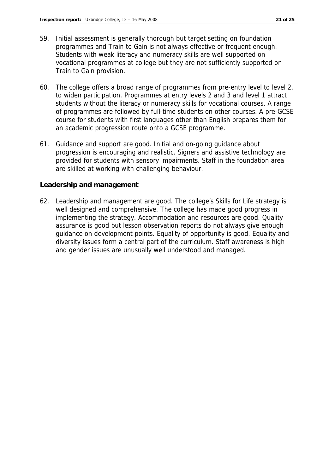- 59. Initial assessment is generally thorough but target setting on foundation programmes and Train to Gain is not always effective or frequent enough. Students with weak literacy and numeracy skills are well supported on vocational programmes at college but they are not sufficiently supported on Train to Gain provision.
- 60. The college offers a broad range of programmes from pre-entry level to level 2, to widen participation. Programmes at entry levels 2 and 3 and level 1 attract students without the literacy or numeracy skills for vocational courses. A range of programmes are followed by full-time students on other courses. A pre-GCSE course for students with first languages other than English prepares them for an academic progression route onto a GCSE programme.
- 61. Guidance and support are good. Initial and on-going guidance about progression is encouraging and realistic. Signers and assistive technology are provided for students with sensory impairments. Staff in the foundation area are skilled at working with challenging behaviour.

#### **Leadership and management**

62. Leadership and management are good. The college's Skills for Life strategy is well designed and comprehensive. The college has made good progress in implementing the strategy. Accommodation and resources are good. Quality assurance is good but lesson observation reports do not always give enough guidance on development points. Equality of opportunity is good. Equality and diversity issues form a central part of the curriculum. Staff awareness is high and gender issues are unusually well understood and managed.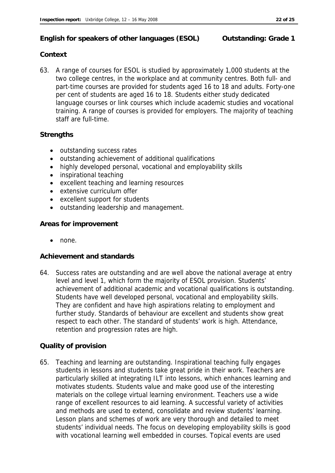#### **English for speakers of other languages (ESOL) Outstanding: Grade 1**

#### **Context**

63. A range of courses for ESOL is studied by approximately 1,000 students at the two college centres, in the workplace and at community centres. Both full- and part-time courses are provided for students aged 16 to 18 and adults. Forty-one per cent of students are aged 16 to 18. Students either study dedicated language courses or link courses which include academic studies and vocational training. A range of courses is provided for employers. The majority of teaching staff are full-time.

#### **Strengths**

- outstanding success rates
- outstanding achievement of additional qualifications
- highly developed personal, vocational and employability skills
- inspirational teaching
- excellent teaching and learning resources
- extensive curriculum offer
- excellent support for students
- outstanding leadership and management.

#### **Areas for improvement**

• none.

#### **Achievement and standards**

64. Success rates are outstanding and are well above the national average at entry level and level 1, which form the majority of ESOL provision. Students' achievement of additional academic and vocational qualifications is outstanding. Students have well developed personal, vocational and employability skills. They are confident and have high aspirations relating to employment and further study. Standards of behaviour are excellent and students show great respect to each other. The standard of students' work is high. Attendance, retention and progression rates are high.

#### **Quality of provision**

65. Teaching and learning are outstanding. Inspirational teaching fully engages students in lessons and students take great pride in their work. Teachers are particularly skilled at integrating ILT into lessons, which enhances learning and motivates students. Students value and make good use of the interesting materials on the college virtual learning environment. Teachers use a wide range of excellent resources to aid learning. A successful variety of activities and methods are used to extend, consolidate and review students' learning. Lesson plans and schemes of work are very thorough and detailed to meet students' individual needs. The focus on developing employability skills is good with vocational learning well embedded in courses. Topical events are used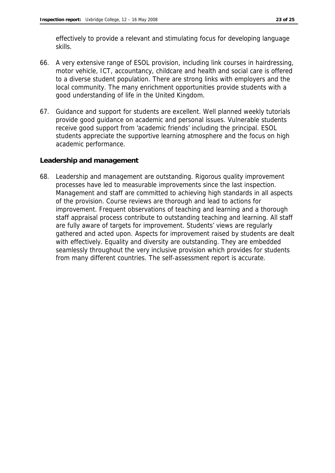effectively to provide a relevant and stimulating focus for developing language skills.

- 66. A very extensive range of ESOL provision, including link courses in hairdressing, motor vehicle, ICT, accountancy, childcare and health and social care is offered to a diverse student population. There are strong links with employers and the local community. The many enrichment opportunities provide students with a good understanding of life in the United Kingdom.
- 67. Guidance and support for students are excellent. Well planned weekly tutorials provide good guidance on academic and personal issues. Vulnerable students receive good support from 'academic friends' including the principal. ESOL students appreciate the supportive learning atmosphere and the focus on high academic performance.

#### **Leadership and management**

68. Leadership and management are outstanding. Rigorous quality improvement processes have led to measurable improvements since the last inspection. Management and staff are committed to achieving high standards in all aspects of the provision. Course reviews are thorough and lead to actions for improvement. Frequent observations of teaching and learning and a thorough staff appraisal process contribute to outstanding teaching and learning. All staff are fully aware of targets for improvement. Students' views are regularly gathered and acted upon. Aspects for improvement raised by students are dealt with effectively. Equality and diversity are outstanding. They are embedded seamlessly throughout the very inclusive provision which provides for students from many different countries. The self-assessment report is accurate.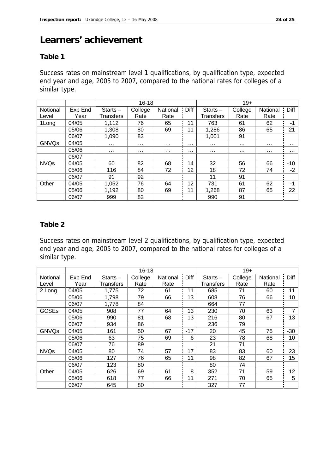## **Learners' achievement**

#### **Table 1**

Success rates on mainstream level 1 qualifications, by qualification type, expected end year and age, 2005 to 2007, compared to the national rates for colleges of a similar type.

|              |         | $16 - 18$  |          |          |      | $19+$      |          |          |             |
|--------------|---------|------------|----------|----------|------|------------|----------|----------|-------------|
| Notional     | Exp End | $Starts -$ | College  | National | Diff | $Starts -$ | College  | National | <b>Diff</b> |
| Level        | Year    | Transfers  | Rate     | Rate     |      | Transfers  | Rate     | Rate     |             |
| 1Long        | 04/05   | 1,112      | 76       | 65       | 11   | 763        | 61       | 62       | -1          |
|              | 05/06   | 1,308      | 80       | 69       | 11   | 1,286      | 86       | 65       | 21          |
|              | 06/07   | 1.090      | 83       |          |      | 1.001      | 91       |          |             |
| <b>GNVQs</b> | 04/05   | $\sim 100$ | $\cdots$ | $\cdots$ | .    | $\cdots$   | $\cdots$ | .        | $\sim 100$  |
|              | 05/06   | $\cdots$   | $\cdots$ | .        | .    | $\cdots$   | $\cdots$ | .        | .           |
|              | 06/07   |            |          |          |      |            |          |          |             |
| <b>NVQs</b>  | 04/05   | 60         | 82       | 68       | 14   | 32         | 56       | 66       | $-10$       |
|              | 05/06   | 116        | 84       | 72       | 12   | 18         | 72       | 74       | $-2$        |
|              | 06/07   | 91         | 92       |          |      | 11         | 91       |          |             |
| Other        | 04/05   | 1,052      | 76       | 64       | 12   | 731        | 61       | 62       | -1          |
|              | 05/06   | 1,192      | 80       | 69       | 11   | 1,268      | 87       | 65       | 22          |
|              | 06/07   | 999        | 82       |          |      | 990        | 91       |          |             |

#### **Table 2**

Success rates on mainstream level 2 qualifications, by qualification type, expected end year and age, 2005 to 2007, compared to the national rates for colleges of a similar type.

|              |         | $16 - 18$  |         |          |       | $19+$      |         |          |       |
|--------------|---------|------------|---------|----------|-------|------------|---------|----------|-------|
| Notional     | Exp End | Starts $-$ | College | National | Diff  | $Starts -$ | College | National | Diff  |
| Level        | Year    | Transfers  | Rate    | Rate     |       | Transfers  | Rate    | Rate     |       |
| 2 Long       | 04/05   | 1,775      | 72      | 61       | 11    | 685        | 71      | 60       | 11    |
|              | 05/06   | 1,798      | 79      | 66       | 13    | 608        | 76      | 66       | 10    |
|              | 06/07   | 1,778      | 84      |          |       | 664        | 77      |          |       |
| <b>GCSEs</b> | 04/05   | 908        | 77      | 64       | 13    | 230        | 70      | 63       | 7     |
|              | 05/06   | 990        | 81      | 68       | 13    | 216        | 80      | 67       | 13    |
|              | 06/07   | 934        | 86      |          |       | 236        | 79      |          |       |
| <b>GNVQs</b> | 04/05   | 161        | 50      | 67       | $-17$ | 20         | 45      | 75       | $-30$ |
|              | 05/06   | 63         | 75      | 69       | 6     | 23         | 78      | 68       | 10    |
|              | 06/07   | 76         | 89      |          |       | 21         | 71      |          |       |
| <b>NVQs</b>  | 04/05   | 80         | 74      | 57       | 17    | 83         | 83      | 60       | 23    |
|              | 05/06   | 127        | 76      | 65       | 11    | 98         | 82      | 67       | 15    |
|              | 06/07   | 123        | 80      |          |       | 80         | 74      |          |       |
| Other        | 04/05   | 626        | 69      | 61       | 8     | 352        | 71      | 59       | 12    |
|              | 05/06   | 618        | 77      | 66       | 11    | 271        | 70      | 65       | 5     |
|              | 06/07   | 645        | 80      |          |       | 327        | 77      |          |       |